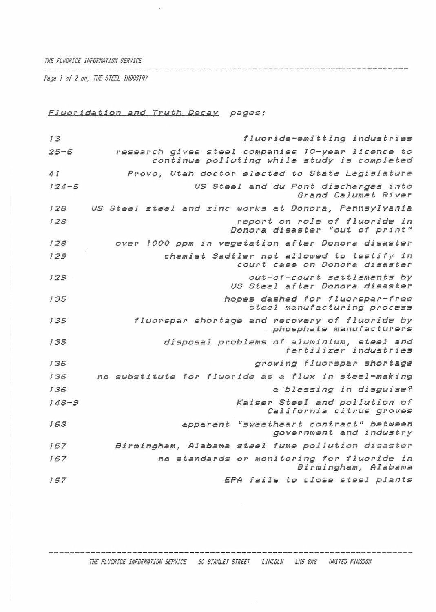*THE FLUORISE INFORHATION SERVICE*

*Page / of 2 on; THE STEEL IHSUSTRY*

## *Fluoridation and Truth Decay pages;*

 $\bar{z}$ 

| 13        | fluoride-emitting industries                                                                     |
|-----------|--------------------------------------------------------------------------------------------------|
| $25 - 6$  | research gives steel companies 10-year licence to<br>continue polluting while study is completed |
| 41        | Provo, Utah doctor elected to State Legislature                                                  |
| $124 - 5$ | US Steel and du Pont discharges into<br>Grand Calumet River                                      |
| 128       | US Steel steel and zinc works at Donora, Pennsylvania                                            |
| 128       | report on role of fluoride in<br>Donora disaster "out of print"                                  |
| 128       | over 1000 ppm in vegetation after Donora disaster                                                |
| 129       | chemist Sadtler not allowed to testify in<br>court case on Donora disaster                       |
| 129       | out-of-court settlements by<br>US Steel after Donora disaster                                    |
| 135       | hopes dashed for fluorspar-free<br>steel manufacturing process                                   |
| 135       | fluorspar shortage and recovery of fluoride by<br>phosphate manufacturers                        |
| 135       | disposal problems of aluminium, steel and<br>fertilizer industries                               |
| 136       | growing fluorspar shortage                                                                       |
| 136       | no substitute for fluoride as a flux in steel-making                                             |
| 136       | a blessing in disguise?                                                                          |
| $148 - 9$ | Kaiser Steel and pollution of<br>California citrus groves                                        |
| 163       | apparent "sweetheart contract" between<br>government and industry                                |
| 167       | Birmingham, Alabama steel fume pollution disaster                                                |
| 167       | no standards or monitoring for fluoride in<br>Birmingham, Alabama                                |
| 167       | EPA fails to close steel plants                                                                  |